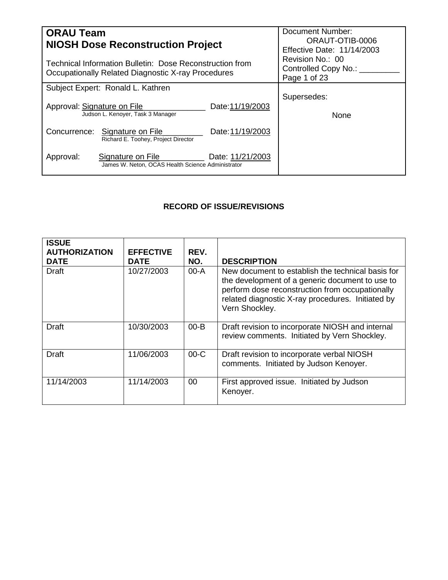| <b>ORAU Team</b><br><b>NIOSH Dose Reconstruction Project</b>                                                   |                                                                        |                                                             | Document Number:<br>ORAUT-OTIB-0006<br>Effective Date: 11/14/2003 |  |
|----------------------------------------------------------------------------------------------------------------|------------------------------------------------------------------------|-------------------------------------------------------------|-------------------------------------------------------------------|--|
| Technical Information Bulletin: Dose Reconstruction from<br>Occupationally Related Diagnostic X-ray Procedures |                                                                        | Revision No.: 00<br>Controlled Copy No.: __<br>Page 1 of 23 |                                                                   |  |
|                                                                                                                | Subject Expert: Ronald L. Kathren                                      |                                                             |                                                                   |  |
| Approval: Signature on File                                                                                    | Judson L. Kenoyer, Task 3 Manager                                      | Date:11/19/2003                                             | Supersedes:<br><b>None</b>                                        |  |
|                                                                                                                | Concurrence: Signature on File<br>Richard E. Toohey, Project Director  | Date: 11/19/2003                                            |                                                                   |  |
| Approval:                                                                                                      | Signature on File<br>James W. Neton, OCAS Health Science Administrator | Date: 11/21/2003                                            |                                                                   |  |

# **RECORD OF ISSUE/REVISIONS**

| <b>ISSUE</b><br><b>AUTHORIZATION</b><br><b>DATE</b> | <b>EFFECTIVE</b><br><b>DATE</b> | REV.<br>NO. | <b>DESCRIPTION</b>                                                                                                                                                                                                             |
|-----------------------------------------------------|---------------------------------|-------------|--------------------------------------------------------------------------------------------------------------------------------------------------------------------------------------------------------------------------------|
| <b>Draft</b>                                        | 10/27/2003                      | 00-A        | New document to establish the technical basis for<br>the development of a generic document to use to<br>perform dose reconstruction from occupationally<br>related diagnostic X-ray procedures. Initiated by<br>Vern Shockley. |
| Draft                                               | 10/30/2003                      | $00 - B$    | Draft revision to incorporate NIOSH and internal<br>review comments. Initiated by Vern Shockley.                                                                                                                               |
| <b>Draft</b>                                        | 11/06/2003                      | $00-C$      | Draft revision to incorporate verbal NIOSH<br>comments. Initiated by Judson Kenoyer.                                                                                                                                           |
| 11/14/2003                                          | 11/14/2003                      | 00          | First approved issue. Initiated by Judson<br>Kenoyer.                                                                                                                                                                          |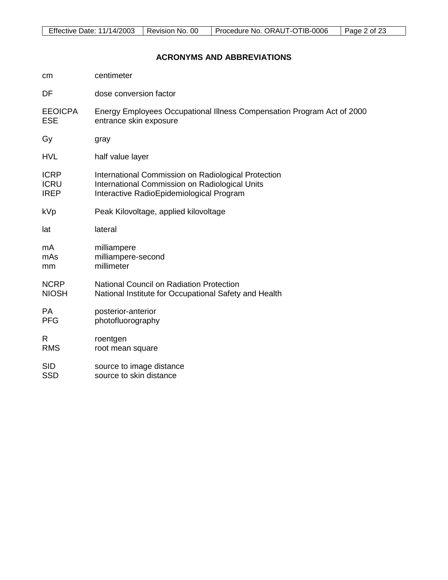# **ACRONYMS AND ABBREVIATIONS**

| cm             | centimeter                                                             |
|----------------|------------------------------------------------------------------------|
| DF             | dose conversion factor                                                 |
| <b>EEOICPA</b> | Energy Employees Occupational Illness Compensation Program Act of 2000 |
| <b>ESE</b>     | entrance skin exposure                                                 |
| Gy             | gray                                                                   |
| <b>HVL</b>     | half value layer                                                       |
| <b>ICRP</b>    | International Commission on Radiological Protection                    |
| <b>ICRU</b>    | International Commission on Radiological Units                         |
| <b>IREP</b>    | Interactive RadioEpidemiological Program                               |
| kVp            | Peak Kilovoltage, applied kilovoltage                                  |
| lat            | lateral                                                                |
| mA             | milliampere                                                            |
| mAs            | milliampere-second                                                     |
| mm             | millimeter                                                             |
| <b>NCRP</b>    | <b>National Council on Radiation Protection</b>                        |
| <b>NIOSH</b>   | National Institute for Occupational Safety and Health                  |
| <b>PA</b>      | posterior-anterior                                                     |
| <b>PFG</b>     | photofluorography                                                      |
| R              | roentgen                                                               |
| <b>RMS</b>     | root mean square                                                       |
| <b>SID</b>     | source to image distance                                               |
| <b>SSD</b>     | source to skin distance                                                |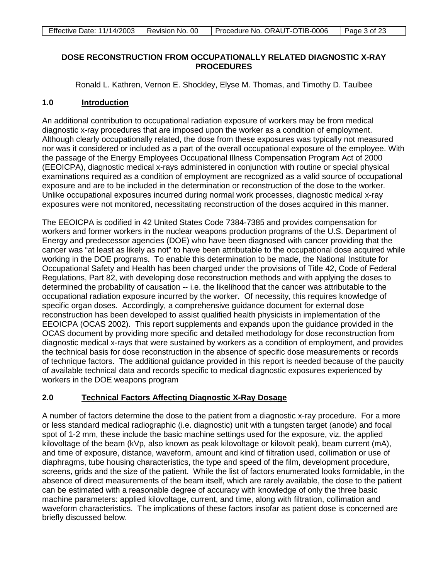### **DOSE RECONSTRUCTION FROM OCCUPATIONALLY RELATED DIAGNOSTIC X-RAY PROCEDURES**

Ronald L. Kathren, Vernon E. Shockley, Elyse M. Thomas, and Timothy D. Taulbee

#### **1.0 Introduction**

An additional contribution to occupational radiation exposure of workers may be from medical diagnostic x-ray procedures that are imposed upon the worker as a condition of employment. Although clearly occupationally related, the dose from these exposures was typically not measured nor was it considered or included as a part of the overall occupational exposure of the employee. With the passage of the Energy Employees Occupational Illness Compensation Program Act of 2000 (EEOICPA), diagnostic medical x-rays administered in conjunction with routine or special physical examinations required as a condition of employment are recognized as a valid source of occupational exposure and are to be included in the determination or reconstruction of the dose to the worker. Unlike occupational exposures incurred during normal work processes, diagnostic medical x-ray exposures were not monitored, necessitating reconstruction of the doses acquired in this manner.

The EEOICPA is codified in 42 United States Code 7384-7385 and provides compensation for workers and former workers in the nuclear weapons production programs of the U.S. Department of Energy and predecessor agencies (DOE) who have been diagnosed with cancer providing that the cancer was "at least as likely as not" to have been attributable to the occupational dose acquired while working in the DOE programs. To enable this determination to be made, the National Institute for Occupational Safety and Health has been charged under the provisions of Title 42, Code of Federal Regulations, Part 82, with developing dose reconstruction methods and with applying the doses to determined the probability of causation -- i.e. the likelihood that the cancer was attributable to the occupational radiation exposure incurred by the worker. Of necessity, this requires knowledge of specific organ doses. Accordingly, a comprehensive guidance document for external dose reconstruction has been developed to assist qualified health physicists in implementation of the EEOICPA (OCAS 2002). This report supplements and expands upon the guidance provided in the OCAS document by providing more specific and detailed methodology for dose reconstruction from diagnostic medical x-rays that were sustained by workers as a condition of employment, and provides the technical basis for dose reconstruction in the absence of specific dose measurements or records of technique factors. The additional guidance provided in this report is needed because of the paucity of available technical data and records specific to medical diagnostic exposures experienced by workers in the DOE weapons program

### **2.0 Technical Factors Affecting Diagnostic X-Ray Dosage**

A number of factors determine the dose to the patient from a diagnostic x-ray procedure. For a more or less standard medical radiographic (i.e. diagnostic) unit with a tungsten target (anode) and focal spot of 1-2 mm, these include the basic machine settings used for the exposure, viz. the applied kilovoltage of the beam (kVp, also known as peak kilovoltage or kilovolt peak), beam current (mA), and time of exposure, distance, waveform, amount and kind of filtration used, collimation or use of diaphragms, tube housing characteristics, the type and speed of the film, development procedure, screens, grids and the size of the patient. While the list of factors enumerated looks formidable, in the absence of direct measurements of the beam itself, which are rarely available, the dose to the patient can be estimated with a reasonable degree of accuracy with knowledge of only the three basic machine parameters: applied kilovoltage, current, and time, along with filtration, collimation and waveform characteristics. The implications of these factors insofar as patient dose is concerned are briefly discussed below.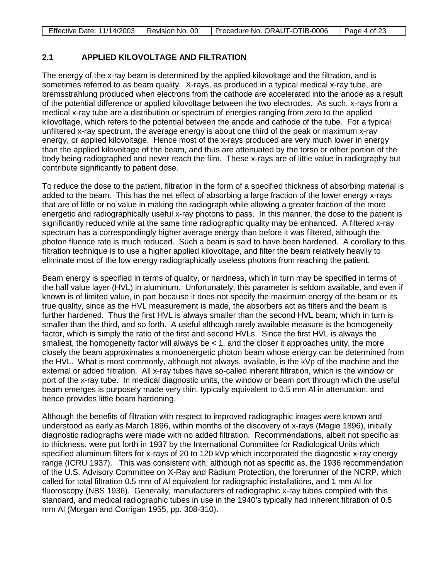|  | Effective Date: 11/14/2003   Revision No. 00   Procedure No. ORAUT-OTIB-0006   Page 4 of 23 |  |
|--|---------------------------------------------------------------------------------------------|--|

# **2.1 APPLIED KILOVOLTAGE AND FILTRATION**

The energy of the x-ray beam is determined by the applied kilovoltage and the filtration, and is sometimes referred to as beam quality. X-rays, as produced in a typical medical x-ray tube, are bremsstrahlung produced when electrons from the cathode are accelerated into the anode as a result of the potential difference or applied kilovoltage between the two electrodes. As such, x-rays from a medical x-ray tube are a distribution or spectrum of energies ranging from zero to the applied kilovoltage, which refers to the potential between the anode and cathode of the tube. For a typical unfiltered x-ray spectrum, the average energy is about one third of the peak or maximum x-ray energy, or applied kilovoltage. Hence most of the x-rays produced are very much lower in energy than the applied kilovoltage of the beam, and thus are attenuated by the torso or other portion of the body being radiographed and never reach the film. These x-rays are of little value in radiography but contribute significantly to patient dose.

To reduce the dose to the patient, filtration in the form of a specified thickness of absorbing material is added to the beam. This has the net effect of absorbing a large fraction of the lower energy x-rays that are of little or no value in making the radiograph while allowing a greater fraction of the more energetic and radiographically useful x-ray photons to pass. In this manner, the dose to the patient is significantly reduced while at the same time radiographic quality may be enhanced. A filtered x-ray spectrum has a correspondingly higher average energy than before it was filtered, although the photon fluence rate is much reduced. Such a beam is said to have been hardened. A corollary to this filtration technique is to use a higher applied kilovoltage, and filter the beam relatively heavily to eliminate most of the low energy radiographically useless photons from reaching the patient.

Beam energy is specified in terms of quality, or hardness, which in turn may be specified in terms of the half value layer (HVL) in aluminum. Unfortunately, this parameter is seldom available, and even if known is of limited value, in part because it does not specify the maximum energy of the beam or its true quality, since as the HVL measurement is made, the absorbers act as filters and the beam is further hardened. Thus the first HVL is always smaller than the second HVL beam, which in turn is smaller than the third, and so forth. A useful although rarely available measure is the homogeneity factor, which is simply the ratio of the first and second HVLs. Since the first HVL is always the smallest, the homogeneity factor will always be  $< 1$ , and the closer it approaches unity, the more closely the beam approximates a monoenergetic photon beam whose energy can be determined from the HVL. What is most commonly, although not always, available, is the kVp of the machine and the external or added filtration. All x-ray tubes have so-called inherent filtration, which is the window or port of the x-ray tube. In medical diagnostic units, the window or beam port through which the useful beam emerges is purposely made very thin, typically equivalent to 0.5 mm Al in attenuation, and hence provides little beam hardening.

Although the benefits of filtration with respect to improved radiographic images were known and understood as early as March 1896, within months of the discovery of x-rays (Magie 1896), initially diagnostic radiographs were made with no added filtration. Recommendations, albeit not specific as to thickness, were put forth in 1937 by the International Committee for Radiological Units which specified aluminum filters for x-rays of 20 to 120 kVp which incorporated the diagnostic x-ray energy range (ICRU 1937). This was consistent with, although not as specific as, the 1936 recommendation of the U.S. Advisory Committee on X-Ray and Radium Protection, the forerunner of the NCRP, which called for total filtration 0.5 mm of Al equivalent for radiographic installations, and 1 mm Al for fluoroscopy (NBS 1936). Generally, manufacturers of radiographic x-ray tubes complied with this standard, and medical radiographic tubes in use in the 1940's typically had inherent filtration of 0.5 mm Al (Morgan and Corrigan 1955, pp. 308-310).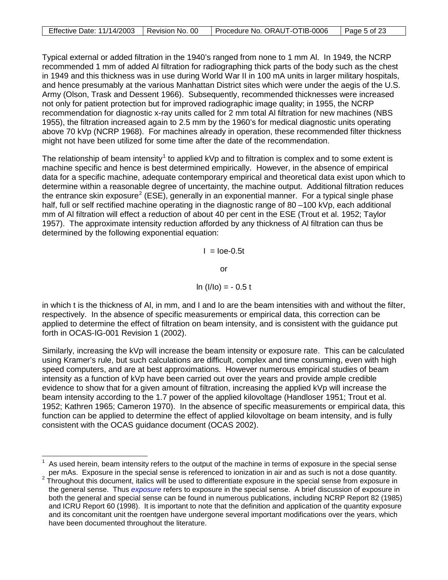| Effective Date: 11/14/2003   Revision No. 00 | Procedure No. ORAUT-OTIB-0006 | Page 5 of 23 |
|----------------------------------------------|-------------------------------|--------------|

Typical external or added filtration in the 1940's ranged from none to 1 mm Al. In 1949, the NCRP recommended 1 mm of added Al filtration for radiographing thick parts of the body such as the chest in 1949 and this thickness was in use during World War II in 100 mA units in larger military hospitals, and hence presumably at the various Manhattan District sites which were under the aegis of the U.S. Army (Olson, Trask and Dessent 1966). Subsequently, recommended thicknesses were increased not only for patient protection but for improved radiographic image quality; in 1955, the NCRP recommendation for diagnostic x-ray units called for 2 mm total Al filtration for new machines (NBS 1955), the filtration increased again to 2.5 mm by the 1960's for medical diagnostic units operating above 70 kVp (NCRP 1968). For machines already in operation, these recommended filter thickness might not have been utilized for some time after the date of the recommendation.

The relationship of beam intensity<sup>[1](#page-4-0)</sup> to applied kVp and to filtration is complex and to some extent is machine specific and hence is best determined empirically. However, in the absence of empirical data for a specific machine, adequate contemporary empirical and theoretical data exist upon which to determine within a reasonable degree of uncertainty, the machine output. Additional filtration reduces the entrance skin exposure<sup>[2](#page-4-1)</sup> (ESE), generally in an exponential manner. For a typical single phase half, full or self rectified machine operating in the diagnostic range of 80 –100 kVp, each additional mm of Al filtration will effect a reduction of about 40 per cent in the ESE (Trout et al. 1952; Taylor 1957). The approximate intensity reduction afforded by any thickness of Al filtration can thus be determined by the following exponential equation:

 $I =$   $\text{Ioe-0.5t}$ 

or

$$
\ln (I/I_0) = -0.5 t
$$

in which t is the thickness of Al, in mm, and I and Io are the beam intensities with and without the filter, respectively. In the absence of specific measurements or empirical data, this correction can be applied to determine the effect of filtration on beam intensity, and is consistent with the guidance put forth in OCAS-IG-001 Revision 1 (2002).

Similarly, increasing the kVp will increase the beam intensity or exposure rate. This can be calculated using Kramer's rule, but such calculations are difficult, complex and time consuming, even with high speed computers, and are at best approximations. However numerous empirical studies of beam intensity as a function of kVp have been carried out over the years and provide ample credible evidence to show that for a given amount of filtration, increasing the applied kVp will increase the beam intensity according to the 1.7 power of the applied kilovoltage (Handloser 1951; Trout et al. 1952; Kathren 1965; Cameron 1970). In the absence of specific measurements or empirical data, this function can be applied to determine the effect of applied kilovoltage on beam intensity, and is fully consistent with the OCAS guidance document (OCAS 2002).

<span id="page-4-0"></span> $\overline{\phantom{a}}$ 1 As used herein, beam intensity refers to the output of the machine in terms of exposure in the special sense per mAs. Exposure in the special sense is referenced to ionization in air and as such is not a dose quantity.

<span id="page-4-1"></span> $2\text{ }T$  Throughout this document, italics will be used to differentiate exposure in the special sense from exposure in the general sense. Thus *exposure* refers to exposure in the special sense. A brief discussion of exposure in both the general and special sense can be found in numerous publications, including NCRP Report 82 (1985) and ICRU Report 60 (1998). It is important to note that the definition and application of the quantity exposure and its concomitant unit the roentgen have undergone several important modifications over the years, which have been documented throughout the literature.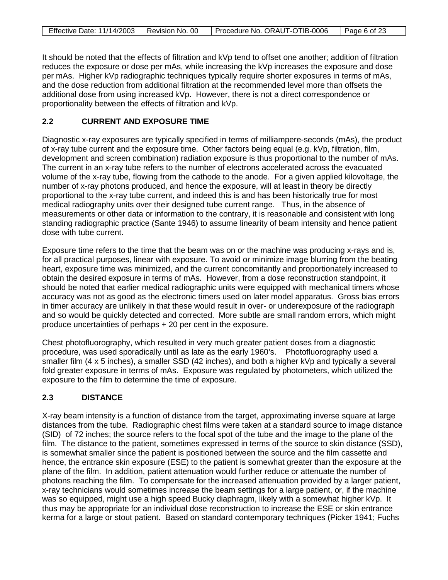| Effective Date: 11/14/2003   Revision No. 00 | Procedure No. ORAUT-OTIB-0006 | $\vert$ Page 6 of 23 |
|----------------------------------------------|-------------------------------|----------------------|

It should be noted that the effects of filtration and kVp tend to offset one another; addition of filtration reduces the exposure or dose per mAs, while increasing the kVp increases the exposure and dose per mAs. Higher kVp radiographic techniques typically require shorter exposures in terms of mAs, and the dose reduction from additional filtration at the recommended level more than offsets the additional dose from using increased kVp. However, there is not a direct correspondence or proportionality between the effects of filtration and kVp.

# **2.2 CURRENT AND EXPOSURE TIME**

Diagnostic x-ray exposures are typically specified in terms of milliampere-seconds (mAs), the product of x-ray tube current and the exposure time. Other factors being equal (e.g. kVp, filtration, film, development and screen combination) radiation exposure is thus proportional to the number of mAs. The current in an x-ray tube refers to the number of electrons accelerated across the evacuated volume of the x-ray tube, flowing from the cathode to the anode. For a given applied kilovoltage, the number of x-ray photons produced, and hence the exposure, will at least in theory be directly proportional to the x-ray tube current, and indeed this is and has been historically true for most medical radiography units over their designed tube current range. Thus, in the absence of measurements or other data or information to the contrary, it is reasonable and consistent with long standing radiographic practice (Sante 1946) to assume linearity of beam intensity and hence patient dose with tube current.

Exposure time refers to the time that the beam was on or the machine was producing x-rays and is, for all practical purposes, linear with exposure. To avoid or minimize image blurring from the beating heart, exposure time was minimized, and the current concomitantly and proportionately increased to obtain the desired exposure in terms of mAs. However, from a dose reconstruction standpoint, it should be noted that earlier medical radiographic units were equipped with mechanical timers whose accuracy was not as good as the electronic timers used on later model apparatus. Gross bias errors in timer accuracy are unlikely in that these would result in over- or underexposure of the radiograph and so would be quickly detected and corrected. More subtle are small random errors, which might produce uncertainties of perhaps + 20 per cent in the exposure.

Chest photofluorography, which resulted in very much greater patient doses from a diagnostic procedure, was used sporadically until as late as the early 1960's. Photofluorography used a smaller film (4 x 5 inches), a smaller SSD (42 inches), and both a higher kVp and typically a several fold greater exposure in terms of mAs. Exposure was regulated by photometers, which utilized the exposure to the film to determine the time of exposure.

# **2.3 DISTANCE**

X-ray beam intensity is a function of distance from the target, approximating inverse square at large distances from the tube. Radiographic chest films were taken at a standard source to image distance (SID) of 72 inches; the source refers to the focal spot of the tube and the image to the plane of the film. The distance to the patient, sometimes expressed in terms of the source to skin distance (SSD), is somewhat smaller since the patient is positioned between the source and the film cassette and hence, the entrance skin exposure (ESE) to the patient is somewhat greater than the exposure at the plane of the film. In addition, patient attenuation would further reduce or attenuate the number of photons reaching the film. To compensate for the increased attenuation provided by a larger patient, x-ray technicians would sometimes increase the beam settings for a large patient, or, if the machine was so equipped, might use a high speed Bucky diaphragm, likely with a somewhat higher kVp. It thus may be appropriate for an individual dose reconstruction to increase the ESE or skin entrance kerma for a large or stout patient. Based on standard contemporary techniques (Picker 1941; Fuchs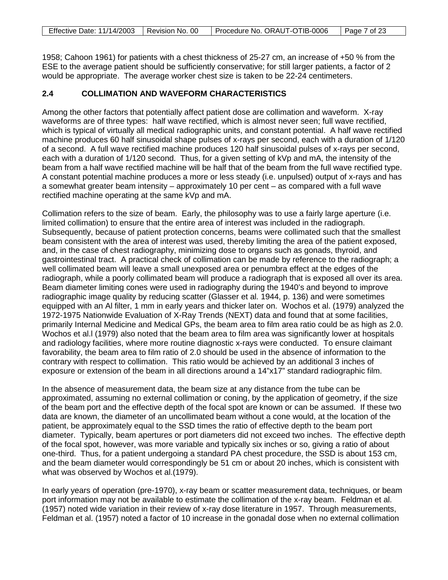|  | Effective Date: 11/14/2003   Revision No. 00   Procedure No. ORAUT-OTIB-0006   Page 7 of 23 |  |
|--|---------------------------------------------------------------------------------------------|--|

1958; Cahoon 1961) for patients with a chest thickness of 25-27 cm, an increase of +50 % from the ESE to the average patient should be sufficiently conservative; for still larger patients, a factor of 2 would be appropriate. The average worker chest size is taken to be 22-24 centimeters.

# **2.4 COLLIMATION AND WAVEFORM CHARACTERISTICS**

Among the other factors that potentially affect patient dose are collimation and waveform. X-ray waveforms are of three types: half wave rectified, which is almost never seen; full wave rectified, which is typical of virtually all medical radiographic units, and constant potential. A half wave rectified machine produces 60 half sinusoidal shape pulses of x-rays per second, each with a duration of 1/120 of a second. A full wave rectified machine produces 120 half sinusoidal pulses of x-rays per second, each with a duration of 1/120 second. Thus, for a given setting of kVp and mA, the intensity of the beam from a half wave rectified machine will be half that of the beam from the full wave rectified type. A constant potential machine produces a more or less steady (i.e. unpulsed) output of x-rays and has a somewhat greater beam intensity – approximately 10 per cent – as compared with a full wave rectified machine operating at the same kVp and mA.

Collimation refers to the size of beam. Early, the philosophy was to use a fairly large aperture (i.e. limited collimation) to ensure that the entire area of interest was included in the radiograph. Subsequently, because of patient protection concerns, beams were collimated such that the smallest beam consistent with the area of interest was used, thereby limiting the area of the patient exposed, and, in the case of chest radiography, minimizing dose to organs such as gonads, thyroid, and gastrointestinal tract. A practical check of collimation can be made by reference to the radiograph; a well collimated beam will leave a small unexposed area or penumbra effect at the edges of the radiograph, while a poorly collimated beam will produce a radiograph that is exposed all over its area. Beam diameter limiting cones were used in radiography during the 1940's and beyond to improve radiographic image quality by reducing scatter (Glasser et al. 1944, p. 136) and were sometimes equipped with an Al filter, 1 mm in early years and thicker later on. Wochos et al. (1979) analyzed the 1972-1975 Nationwide Evaluation of X-Ray Trends (NEXT) data and found that at some facilities, primarily Internal Medicine and Medical GPs, the beam area to film area ratio could be as high as 2.0. Wochos et al.l (1979) also noted that the beam area to film area was significantly lower at hospitals and radiology facilities, where more routine diagnostic x-rays were conducted. To ensure claimant favorability, the beam area to film ratio of 2.0 should be used in the absence of information to the contrary with respect to collimation. This ratio would be achieved by an additional 3 inches of exposure or extension of the beam in all directions around a 14"x17" standard radiographic film.

In the absence of measurement data, the beam size at any distance from the tube can be approximated, assuming no external collimation or coning, by the application of geometry, if the size of the beam port and the effective depth of the focal spot are known or can be assumed. If these two data are known, the diameter of an uncollimated beam without a cone would, at the location of the patient, be approximately equal to the SSD times the ratio of effective depth to the beam port diameter. Typically, beam apertures or port diameters did not exceed two inches. The effective depth of the focal spot, however, was more variable and typically six inches or so, giving a ratio of about one-third. Thus, for a patient undergoing a standard PA chest procedure, the SSD is about 153 cm, and the beam diameter would correspondingly be 51 cm or about 20 inches, which is consistent with what was observed by Wochos et al.(1979).

In early years of operation (pre-1970), x-ray beam or scatter measurement data, techniques, or beam port information may not be available to estimate the collimation of the x-ray beam. Feldman et al. (1957) noted wide variation in their review of x-ray dose literature in 1957. Through measurements, Feldman et al. (1957) noted a factor of 10 increase in the gonadal dose when no external collimation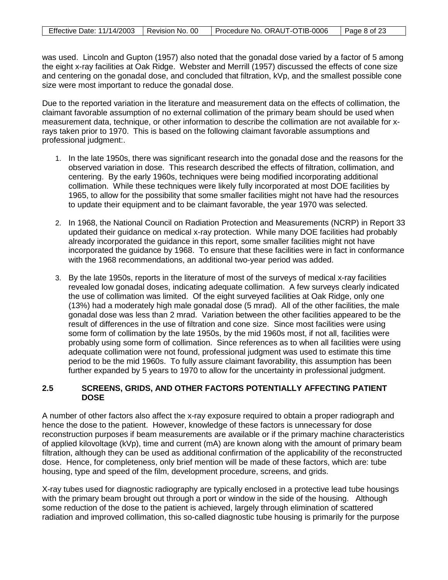|  | Effective Date: 11/14/2003   Revision No. 00   Procedure No. ORAUT-OTIB-0006 | $\vert$ Page 8 of 23 |
|--|------------------------------------------------------------------------------|----------------------|

was used. Lincoln and Gupton (1957) also noted that the gonadal dose varied by a factor of 5 among the eight x-ray facilities at Oak Ridge. Webster and Merrill (1957) discussed the effects of cone size and centering on the gonadal dose, and concluded that filtration, kVp, and the smallest possible cone size were most important to reduce the gonadal dose.

Due to the reported variation in the literature and measurement data on the effects of collimation, the claimant favorable assumption of no external collimation of the primary beam should be used when measurement data, technique, or other information to describe the collimation are not available for xrays taken prior to 1970. This is based on the following claimant favorable assumptions and professional judgment:.

- 1. In the late 1950s, there was significant research into the gonadal dose and the reasons for the observed variation in dose. This research described the effects of filtration, collimation, and centering. By the early 1960s, techniques were being modified incorporating additional collimation. While these techniques were likely fully incorporated at most DOE facilities by 1965, to allow for the possibility that some smaller facilities might not have had the resources to update their equipment and to be claimant favorable, the year 1970 was selected.
- 2. In 1968, the National Council on Radiation Protection and Measurements (NCRP) in Report 33 updated their guidance on medical x-ray protection. While many DOE facilities had probably already incorporated the guidance in this report, some smaller facilities might not have incorporated the guidance by 1968. To ensure that these facilities were in fact in conformance with the 1968 recommendations, an additional two-year period was added.
- 3. By the late 1950s, reports in the literature of most of the surveys of medical x-ray facilities revealed low gonadal doses, indicating adequate collimation. A few surveys clearly indicated the use of collimation was limited. Of the eight surveyed facilities at Oak Ridge, only one (13%) had a moderately high male gonadal dose (5 mrad). All of the other facilities, the male gonadal dose was less than 2 mrad. Variation between the other facilities appeared to be the result of differences in the use of filtration and cone size. Since most facilities were using some form of collimation by the late 1950s, by the mid 1960s most, if not all, facilities were probably using some form of collimation. Since references as to when all facilities were using adequate collimation were not found, professional judgment was used to estimate this time period to be the mid 1960s. To fully assure claimant favorability, this assumption has been further expanded by 5 years to 1970 to allow for the uncertainty in professional judgment.

### **2.5 SCREENS, GRIDS, AND OTHER FACTORS POTENTIALLY AFFECTING PATIENT DOSE**

A number of other factors also affect the x-ray exposure required to obtain a proper radiograph and hence the dose to the patient. However, knowledge of these factors is unnecessary for dose reconstruction purposes if beam measurements are available or if the primary machine characteristics of applied kilovoltage (kVp), time and current (mA) are known along with the amount of primary beam filtration, although they can be used as additional confirmation of the applicability of the reconstructed dose. Hence, for completeness, only brief mention will be made of these factors, which are: tube housing, type and speed of the film, development procedure, screens, and grids.

X-ray tubes used for diagnostic radiography are typically enclosed in a protective lead tube housings with the primary beam brought out through a port or window in the side of the housing. Although some reduction of the dose to the patient is achieved, largely through elimination of scattered radiation and improved collimation, this so-called diagnostic tube housing is primarily for the purpose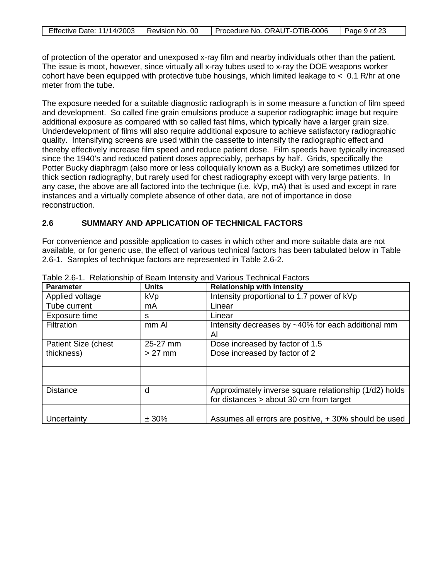| Effective Date: 11/14/2003   Revision No. 00 | Procedure No. ORAUT-OTIB-0006 | l Page 9 of 23 |
|----------------------------------------------|-------------------------------|----------------|

of protection of the operator and unexposed x-ray film and nearby individuals other than the patient. The issue is moot, however, since virtually all x-ray tubes used to x-ray the DOE weapons worker cohort have been equipped with protective tube housings, which limited leakage to  $< 0.1$  R/hr at one meter from the tube.

The exposure needed for a suitable diagnostic radiograph is in some measure a function of film speed and development. So called fine grain emulsions produce a superior radiographic image but require additional exposure as compared with so called fast films, which typically have a larger grain size. Underdevelopment of films will also require additional exposure to achieve satisfactory radiographic quality. Intensifying screens are used within the cassette to intensify the radiographic effect and thereby effectively increase film speed and reduce patient dose. Film speeds have typically increased since the 1940's and reduced patient doses appreciably, perhaps by half. Grids, specifically the Potter Bucky diaphragm (also more or less colloquially known as a Bucky) are sometimes utilized for thick section radiography, but rarely used for chest radiography except with very large patients. In any case, the above are all factored into the technique (i.e. kVp, mA) that is used and except in rare instances and a virtually complete absence of other data, are not of importance in dose reconstruction.

### **2.6 SUMMARY AND APPLICATION OF TECHNICAL FACTORS**

For convenience and possible application to cases in which other and more suitable data are not available, or for generic use, the effect of various technical factors has been tabulated below in Table 2.6-1. Samples of technique factors are represented in Table 2.6-2.

| <b>Parameter</b>    | <b>Units</b> | <b>Relationship with intensity</b>                     |
|---------------------|--------------|--------------------------------------------------------|
| Applied voltage     | <b>kVp</b>   | Intensity proportional to 1.7 power of kVp             |
| Tube current        | mA           | Linear                                                 |
| Exposure time       | s            | Linear                                                 |
| Filtration          | mm Al        | Intensity decreases by ~40% for each additional mm     |
|                     |              | Al                                                     |
| Patient Size (chest | 25-27 mm     | Dose increased by factor of 1.5                        |
| thickness)          | $>27$ mm     | Dose increased by factor of 2                          |
|                     |              |                                                        |
|                     |              |                                                        |
|                     |              |                                                        |
| <b>Distance</b>     | d            | Approximately inverse square relationship (1/d2) holds |
|                     |              | for distances $>$ about 30 cm from target              |
|                     |              |                                                        |
| Uncertainty         | ± 30%        | Assumes all errors are positive, +30% should be used   |

Table 2.6-1. Relationship of Beam Intensity and Various Technical Factors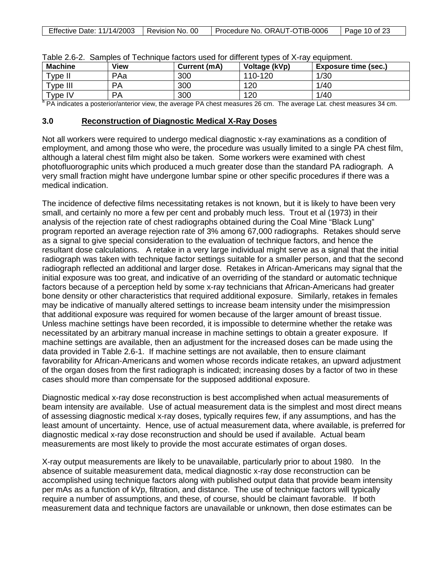| <b>Machine</b>         | View      | Current (mA) | Voltage (kVp) | <b>Exposure time (sec.)</b> |
|------------------------|-----------|--------------|---------------|-----------------------------|
| Type II                | PAa       | 300          | 110-120       | 1/30                        |
| Type III               | <b>PA</b> | 300          | 120           | 1/40                        |
| $T$ <sub>V</sub> pe IV | <b>PA</b> | 300          | 120           | 1/40                        |

| Table 2.6-2. Samples of Technique factors used for different types of X-ray equipment. |  |  |  |  |  |  |  |
|----------------------------------------------------------------------------------------|--|--|--|--|--|--|--|
|----------------------------------------------------------------------------------------|--|--|--|--|--|--|--|

<sup>a</sup> PA indicates a posterior/anterior view, the average PA chest measures 26 cm. The average Lat. chest measures 34 cm.

#### **3.0 Reconstruction of Diagnostic Medical X-Ray Doses**

Not all workers were required to undergo medical diagnostic x-ray examinations as a condition of employment, and among those who were, the procedure was usually limited to a single PA chest film, although a lateral chest film might also be taken. Some workers were examined with chest photofluorographic units which produced a much greater dose than the standard PA radiograph. A very small fraction might have undergone lumbar spine or other specific procedures if there was a medical indication.

The incidence of defective films necessitating retakes is not known, but it is likely to have been very small, and certainly no more a few per cent and probably much less. Trout et al (1973) in their analysis of the rejection rate of chest radiographs obtained during the Coal Mine "Black Lung" program reported an average rejection rate of 3% among 67,000 radiographs. Retakes should serve as a signal to give special consideration to the evaluation of technique factors, and hence the resultant dose calculations. A retake in a very large individual might serve as a signal that the initial radiograph was taken with technique factor settings suitable for a smaller person, and that the second radiograph reflected an additional and larger dose. Retakes in African-Americans may signal that the initial exposure was too great, and indicative of an overriding of the standard or automatic technique factors because of a perception held by some x-ray technicians that African-Americans had greater bone density or other characteristics that required additional exposure. Similarly, retakes in females may be indicative of manually altered settings to increase beam intensity under the misimpression that additional exposure was required for women because of the larger amount of breast tissue. Unless machine settings have been recorded, it is impossible to determine whether the retake was necessitated by an arbitrary manual increase in machine settings to obtain a greater exposure. If machine settings are available, then an adjustment for the increased doses can be made using the data provided in Table 2.6-1. If machine settings are not available, then to ensure claimant favorability for African-Americans and women whose records indicate retakes, an upward adjustment of the organ doses from the first radiograph is indicated; increasing doses by a factor of two in these cases should more than compensate for the supposed additional exposure.

Diagnostic medical x-ray dose reconstruction is best accomplished when actual measurements of beam intensity are available. Use of actual measurement data is the simplest and most direct means of assessing diagnostic medical x-ray doses, typically requires few, if any assumptions, and has the least amount of uncertainty. Hence, use of actual measurement data, where available, is preferred for diagnostic medical x-ray dose reconstruction and should be used if available. Actual beam measurements are most likely to provide the most accurate estimates of organ doses.

X-ray output measurements are likely to be unavailable, particularly prior to about 1980. In the absence of suitable measurement data, medical diagnostic x-ray dose reconstruction can be accomplished using technique factors along with published output data that provide beam intensity per mAs as a function of kVp, filtration, and distance. The use of technique factors will typically require a number of assumptions, and these, of course, should be claimant favorable. If both measurement data and technique factors are unavailable or unknown, then dose estimates can be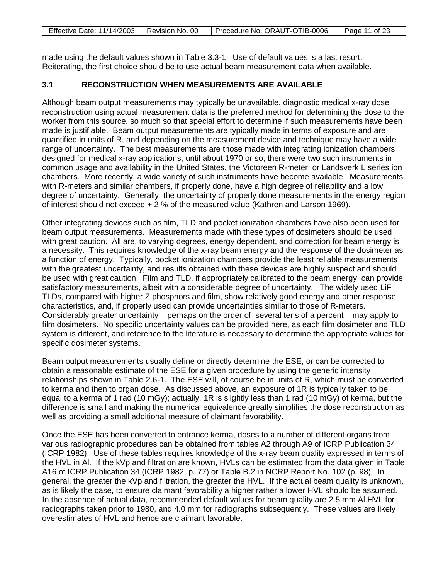| Effective Date: 11/14/2003   Revision No. 00 | Procedure No. ORAUT-OTIB-0006 | $\vert$ Page 11 of 23 |
|----------------------------------------------|-------------------------------|-----------------------|

made using the default values shown in Table 3.3-1. Use of default values is a last resort. Reiterating, the first choice should be to use actual beam measurement data when available.

# **3.1 RECONSTRUCTION WHEN MEASUREMENTS ARE AVAILABLE**

Although beam output measurements may typically be unavailable, diagnostic medical x-ray dose reconstruction using actual measurement data is the preferred method for determining the dose to the worker from this source, so much so that special effort to determine if such measurements have been made is justifiable. Beam output measurements are typically made in terms of exposure and are quantified in units of R, and depending on the measurement device and technique may have a wide range of uncertainty. The best measurements are those made with integrating ionization chambers designed for medical x-ray applications; until about 1970 or so, there were two such instruments in common usage and availability in the United States, the Victoreen R-meter, or Landsverk L series ion chambers. More recently, a wide variety of such instruments have become available. Measurements with R-meters and similar chambers, if properly done, have a high degree of reliability and a low degree of uncertainty. Generally, the uncertainty of properly done measurements in the energy region of interest should not exceed + 2 % of the measured value (Kathren and Larson 1969).

Other integrating devices such as film, TLD and pocket ionization chambers have also been used for beam output measurements. Measurements made with these types of dosimeters should be used with great caution. All are, to varying degrees, energy dependent, and correction for beam energy is a necessity. This requires knowledge of the x-ray beam energy and the response of the dosimeter as a function of energy. Typically, pocket ionization chambers provide the least reliable measurements with the greatest uncertainty, and results obtained with these devices are highly suspect and should be used with great caution. Film and TLD, if appropriately calibrated to the beam energy, can provide satisfactory measurements, albeit with a considerable degree of uncertainty. The widely used LiF TLDs, compared with higher Z phosphors and film, show relatively good energy and other response characteristics, and, if properly used can provide uncertainties similar to those of R-meters. Considerably greater uncertainty – perhaps on the order of several tens of a percent – may apply to film dosimeters. No specific uncertainty values can be provided here, as each film dosimeter and TLD system is different, and reference to the literature is necessary to determine the appropriate values for specific dosimeter systems.

Beam output measurements usually define or directly determine the ESE, or can be corrected to obtain a reasonable estimate of the ESE for a given procedure by using the generic intensity relationships shown in Table 2.6-1. The ESE will, of course be in units of R, which must be converted to kerma and then to organ dose. As discussed above, an exposure of 1R is typically taken to be equal to a kerma of 1 rad (10 mGy); actually, 1R is slightly less than 1 rad (10 mGy) of kerma, but the difference is small and making the numerical equivalence greatly simplifies the dose reconstruction as well as providing a small additional measure of claimant favorability.

Once the ESE has been converted to entrance kerma, doses to a number of different organs from various radiographic procedures can be obtained from tables A2 through A9 of ICRP Publication 34 (ICRP 1982). Use of these tables requires knowledge of the x-ray beam quality expressed in terms of the HVL in Al. If the kVp and filtration are known, HVLs can be estimated from the data given in Table A16 of ICRP Publication 34 (ICRP 1982, p. 77) or Table B.2 in NCRP Report No. 102 (p. 98). In general, the greater the kVp and filtration, the greater the HVL. If the actual beam quality is unknown, as is likely the case, to ensure claimant favorability a higher rather a lower HVL should be assumed. In the absence of actual data, recommended default values for beam quality are 2.5 mm Al HVL for radiographs taken prior to 1980, and 4.0 mm for radiographs subsequently. These values are likely overestimates of HVL and hence are claimant favorable.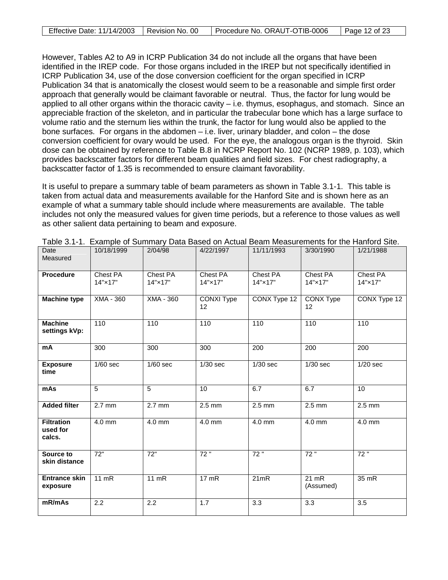| Effective Date: 11/14/2003   Revision No. 00 | Procedure No. ORAUT-OTIB-0006 | Page 12 of 23 |
|----------------------------------------------|-------------------------------|---------------|

However, Tables A2 to A9 in ICRP Publication 34 do not include all the organs that have been identified in the IREP code. For those organs included in the IREP but not specifically identified in ICRP Publication 34, use of the dose conversion coefficient for the organ specified in ICRP Publication 34 that is anatomically the closest would seem to be a reasonable and simple first order approach that generally would be claimant favorable or neutral. Thus, the factor for lung would be applied to all other organs within the thoracic cavity – i.e. thymus, esophagus, and stomach. Since an appreciable fraction of the skeleton, and in particular the trabecular bone which has a large surface to volume ratio and the sternum lies within the trunk, the factor for lung would also be applied to the bone surfaces. For organs in the abdomen – i.e. liver, urinary bladder, and colon – the dose conversion coefficient for ovary would be used. For the eye, the analogous organ is the thyroid. Skin dose can be obtained by reference to Table B.8 in NCRP Report No. 102 (NCRP 1989, p. 103), which provides backscatter factors for different beam qualities and field sizes. For chest radiography, a backscatter factor of 1.35 is recommended to ensure claimant favorability.

It is useful to prepare a summary table of beam parameters as shown in Table 3.1-1. This table is taken from actual data and measurements available for the Hanford Site and is shown here as an example of what a summary table should include where measurements are available. The table includes not only the measured values for given time periods, but a reference to those values as well as other salient data pertaining to beam and exposure.

| Date<br>Measured                        | 10/18/1999          | 2/04/98             | 4/22/1997           | 11/11/1993          | 3/30/1990            | 1/21/1988           |
|-----------------------------------------|---------------------|---------------------|---------------------|---------------------|----------------------|---------------------|
| <b>Procedure</b>                        | Chest PA<br>14"×17" | Chest PA<br>14"×17" | Chest PA<br>14"×17" | Chest PA<br>14"×17" | Chest PA<br>14"×17"  | Chest PA<br>14"×17" |
| <b>Machine type</b>                     | $XMA - 360$         | XMA - 360           | CONXI Type<br>12    | CONX Type 12        | CONX Type<br>12      | CONX Type 12        |
| <b>Machine</b><br>settings kVp:         | 110                 | 110                 | 110                 | 110                 | 110                  | 110                 |
| mA                                      | 300                 | 300                 | 300                 | $\overline{200}$    | $\overline{200}$     | $\overline{200}$    |
| <b>Exposure</b><br>time                 | $1/60$ sec          | $1/60$ sec          | $1/30$ sec          | $1/30$ sec          | $1/30$ sec           | $1/20$ sec          |
| mAs                                     | 5                   | 5                   | 10                  | 6.7                 | 6.7                  | 10                  |
| <b>Added filter</b>                     | $2.7$ mm            | $2.7$ mm            | $2.5$ mm            | $2.5 \text{ mm}$    | $2.5 \text{ mm}$     | $2.5$ mm            |
| <b>Filtration</b><br>used for<br>calcs. | $4.0$ mm            | 4.0 mm              | $4.0$ mm            | $4.0$ mm            | $4.0$ mm             | $4.0$ mm            |
| Source to<br>skin distance              | 72"                 | 72"                 | 72"                 | 72"                 | 72"                  | 72"                 |
| <b>Entrance skin</b><br>exposure        | $11$ mR             | $11$ mR             | 17 mR               | 21mR                | $21$ mR<br>(Assumed) | 35 mR               |
| mR/mAs                                  | $\overline{2.2}$    | 2.2                 | 1.7                 | $\overline{3.3}$    | $\overline{3.3}$     | $\overline{3.5}$    |

Table 3.1-1. Example of Summary Data Based on Actual Beam Measurements for the Hanford Site.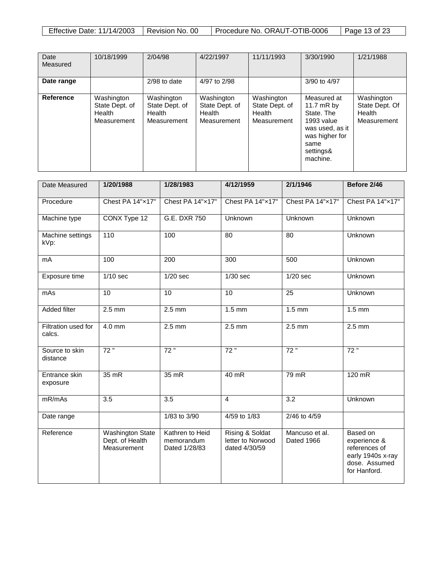| <b>Effective Date: 11/14/2003</b> | Revision No. 00 | Procedure No. ORAUT-OTIB-0006 | Page 13 of 23 |
|-----------------------------------|-----------------|-------------------------------|---------------|

| Date<br>Measured | 10/18/1999                                            | 2/04/98                                               | 4/22/1997                                             | 11/11/1993                                            | 3/30/1990                                                                                                                     | 1/21/1988                                             |
|------------------|-------------------------------------------------------|-------------------------------------------------------|-------------------------------------------------------|-------------------------------------------------------|-------------------------------------------------------------------------------------------------------------------------------|-------------------------------------------------------|
| Date range       |                                                       | $2/98$ to date                                        | 4/97 to 2/98                                          |                                                       | 3/90 to 4/97                                                                                                                  |                                                       |
| <b>Reference</b> | Washington<br>State Dept. of<br>Health<br>Measurement | Washington<br>State Dept. of<br>Health<br>Measurement | Washington<br>State Dept. of<br>Health<br>Measurement | Washington<br>State Dept. of<br>Health<br>Measurement | Measured at<br>11.7 $mR$ by<br>State, The<br>1993 value<br>was used, as it<br>was higher for<br>same<br>settings&<br>machine. | Washington<br>State Dept. Of<br>Health<br>Measurement |

| Date Measured                 | 1/20/1988                                                 | 1/28/1983                                      | 4/12/1959                                             | 2/1/1946                     | Before 2/46                                                                                     |
|-------------------------------|-----------------------------------------------------------|------------------------------------------------|-------------------------------------------------------|------------------------------|-------------------------------------------------------------------------------------------------|
| Procedure                     | Chest PA 14"x17"                                          | Chest PA 14"x17"                               | Chest PA 14"x17"                                      | Chest PA 14"x17"             | Chest PA 14"x17"                                                                                |
| Machine type                  | CONX Type 12                                              | G.E. DXR 750                                   | Unknown                                               | Unknown                      | Unknown                                                                                         |
| Machine settings<br>kVp:      | 110                                                       | 100                                            | 80                                                    | 80                           | Unknown                                                                                         |
| mA                            | 100                                                       | 200                                            | 300                                                   | 500                          | Unknown                                                                                         |
| Exposure time                 | $1/10$ sec                                                | $1/20$ sec                                     | $1/30$ sec                                            | $1/20$ sec                   | Unknown                                                                                         |
| mAs                           | 10                                                        | 10                                             | 10                                                    | 25                           | Unknown                                                                                         |
| <b>Added filter</b>           | $2.5$ mm                                                  | $2.5$ mm                                       | $1.5$ mm                                              | $1.5$ mm                     | $1.5$ mm                                                                                        |
| Filtration used for<br>calcs. | $4.0$ mm                                                  | $2.5$ mm                                       | $2.5$ mm                                              | $2.5$ mm                     | $2.5$ mm                                                                                        |
| Source to skin<br>distance    | 72"                                                       | 72"                                            | 72"                                                   | 72"                          | 72"                                                                                             |
| Entrance skin<br>exposure     | 35 mR                                                     | $35$ mR                                        | $40$ mR                                               | $79$ mR                      | $120$ mR                                                                                        |
| mR/mAs                        | 3.5                                                       | 3.5                                            | 4                                                     | 3.2                          | Unknown                                                                                         |
| Date range                    |                                                           | 1/83 to 3/90                                   | 4/59 to 1/83                                          | 2/46 to 4/59                 |                                                                                                 |
| Reference                     | <b>Washington State</b><br>Dept. of Health<br>Measurement | Kathren to Heid<br>memorandum<br>Dated 1/28/83 | Rising & Soldat<br>letter to Norwood<br>dated 4/30/59 | Mancuso et al.<br>Dated 1966 | Based on<br>experience &<br>references of<br>early 1940s x-ray<br>dose. Assumed<br>for Hanford. |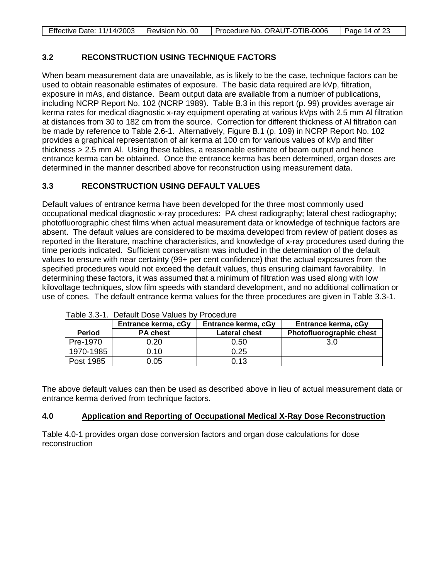| Effective Date: 11/14/2003   Revision No. 00 | Procedure No. ORAUT-OTIB-0006 | Page 14 of 23 |
|----------------------------------------------|-------------------------------|---------------|

## **3.2 RECONSTRUCTION USING TECHNIQUE FACTORS**

When beam measurement data are unavailable, as is likely to be the case, technique factors can be used to obtain reasonable estimates of exposure. The basic data required are kVp, filtration, exposure in mAs, and distance. Beam output data are available from a number of publications, including NCRP Report No. 102 (NCRP 1989). Table B.3 in this report (p. 99) provides average air kerma rates for medical diagnostic x-ray equipment operating at various kVps with 2.5 mm Al filtration at distances from 30 to 182 cm from the source. Correction for different thickness of Al filtration can be made by reference to Table 2.6-1. Alternatively, Figure B.1 (p. 109) in NCRP Report No. 102 provides a graphical representation of air kerma at 100 cm for various values of kVp and filter thickness > 2.5 mm Al. Using these tables, a reasonable estimate of beam output and hence entrance kerma can be obtained. Once the entrance kerma has been determined, organ doses are determined in the manner described above for reconstruction using measurement data.

# **3.3 RECONSTRUCTION USING DEFAULT VALUES**

Default values of entrance kerma have been developed for the three most commonly used occupational medical diagnostic x-ray procedures: PA chest radiography; lateral chest radiography; photofluorographic chest films when actual measurement data or knowledge of technique factors are absent. The default values are considered to be maxima developed from review of patient doses as reported in the literature, machine characteristics, and knowledge of x-ray procedures used during the time periods indicated. Sufficient conservatism was included in the determination of the default values to ensure with near certainty (99+ per cent confidence) that the actual exposures from the specified procedures would not exceed the default values, thus ensuring claimant favorability. In determining these factors, it was assumed that a minimum of filtration was used along with low kilovoltage techniques, slow film speeds with standard development, and no additional collimation or use of cones. The default entrance kerma values for the three procedures are given in Table 3.3-1.

|               | Entrance kerma, cGy | Entrance kerma, cGy  | Entrance kerma, cGy      |
|---------------|---------------------|----------------------|--------------------------|
| <b>Period</b> | <b>PA chest</b>     | <b>Lateral chest</b> | Photofluorographic chest |
| Pre-1970      | 0.20                | 0.50                 | 3.0                      |
| 1970-1985     | 0.10                | 0.25                 |                          |
| Post 1985     | 0.05                | 0.13                 |                          |

Table 3.3-1. Default Dose Values by Procedure

The above default values can then be used as described above in lieu of actual measurement data or entrance kerma derived from technique factors.

#### **4.0 Application and Reporting of Occupational Medical X-Ray Dose Reconstruction**

Table 4.0-1 provides organ dose conversion factors and organ dose calculations for dose reconstruction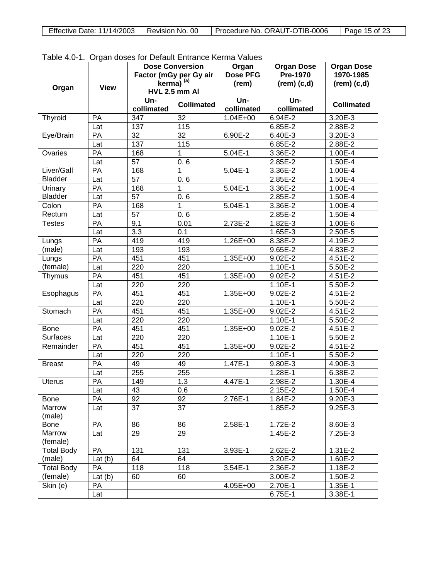| Effective Date: 11/14/2003   Revision No. 00 | Procedure No. ORAUT-OTIB-0006 | Page 15 of 23 |
|----------------------------------------------|-------------------------------|---------------|
|----------------------------------------------|-------------------------------|---------------|

| rable 4.0-1. Organ doses for Delault Entrance Kerma Values<br><b>Organ Dose</b><br><b>Dose Conversion</b><br><b>Organ Dose</b><br>Organ |             |                   |                        |                   |                   |                   |
|-----------------------------------------------------------------------------------------------------------------------------------------|-------------|-------------------|------------------------|-------------------|-------------------|-------------------|
|                                                                                                                                         |             |                   | Factor (mGy per Gy air | <b>Dose PFG</b>   | Pre-1970          | 1970-1985         |
|                                                                                                                                         |             |                   | kerma) <sup>(a)</sup>  | (rem)             | $(rem)$ $(c,d)$   | $rem)$ (c,d)      |
| Organ                                                                                                                                   | <b>View</b> |                   | <b>HVL 2.5 mm AI</b>   |                   |                   |                   |
|                                                                                                                                         |             | Un-<br>collimated | <b>Collimated</b>      | Un-<br>collimated | Un-<br>collimated | <b>Collimated</b> |
| Thyroid                                                                                                                                 | PA          | 347               | $\overline{32}$        | $1.04E + 00$      | $6.94E - 2$       | 3.20E-3           |
|                                                                                                                                         | Lat         | 137               | $\frac{115}{115}$      |                   | 6.85E-2           | 2.88E-2           |
| Eye/Brain                                                                                                                               | PA          | $\overline{32}$   | $\overline{32}$        | 6.90E-2           | 6.40E-3           | 3.20E-3           |
|                                                                                                                                         | Lat         | 137               | $\frac{115}{115}$      |                   | 6.85E-2           | 2.88E-2           |
| Ovaries                                                                                                                                 | PA          | 168               | 1                      | $5.04E-1$         | 3.36E-2           | 1.00E-4           |
|                                                                                                                                         | Lat         | $\overline{57}$   | 0.6                    |                   | 2.85E-2           | 1.50E-4           |
| Liver/Gall                                                                                                                              | PA          | 168               | 1                      | 5.04E-1           | 3.36E-2           | 1.00E-4           |
| <b>Bladder</b>                                                                                                                          | Lat         | $\overline{57}$   | 0.6                    |                   | 2.85E-2           | 1.50E-4           |
| Urinary                                                                                                                                 | PA          | 168               | 1                      | $5.04E-1$         | 3.36E-2           | 1.00E-4           |
| Bladder                                                                                                                                 | Lat         | $\overline{57}$   | 0.6                    |                   | 2.85E-2           | 1.50E-4           |
| Colon                                                                                                                                   | PA          | 168               | 1                      | 5.04E-1           | 3.36E-2           | $1.00E - 4$       |
| Rectum                                                                                                                                  | Lat         | $\overline{57}$   | 0.6                    |                   | 2.85E-2           | 1.50E-4           |
| <b>Testes</b>                                                                                                                           | PA          | 9.1               | 0.01                   | $2.73E-2$         | 1.82E-3           | 1.00E-6           |
|                                                                                                                                         | Lat         | $\overline{3.3}$  | 0.1                    |                   | 1.65E-3           | 2.50E-5           |
| Lungs                                                                                                                                   | PA          | 419               | 419                    | 1.26E+00          | 8.38E-2           | 4.19E-2           |
| (male)                                                                                                                                  | Lat         | 193               | 193                    |                   | 9.65E-2           | 4.83E-2           |
| Lungs                                                                                                                                   | PA          | 451               | 451                    | 1.35E+00          | 9.02E-2           | 4.51E-2           |
| (female)                                                                                                                                | Lat         | 220               | 220                    |                   | 1.10E-1           | 5.50E-2           |
| Thymus                                                                                                                                  | PA          | 451               | 451                    | 1.35E+00          | 9.02E-2           | 4.51E-2           |
|                                                                                                                                         | Lat         | 220               | 220                    |                   | 1.10E-1           | 5.50E-2           |
| Esophagus                                                                                                                               | PA          | 451               | 451                    | 1.35E+00          | 9.02E-2           | 4.51E-2           |
|                                                                                                                                         | Lat         | 220               | 220                    |                   | 1.10E-1           | 5.50E-2           |
| Stomach                                                                                                                                 | PA          | $45\overline{1}$  | 451                    | 1.35E+00          | 9.02E-2           | 4.51E-2           |
|                                                                                                                                         | Lat         | 220               | 220                    |                   | 1.10E-1           | 5.50E-2           |
| <b>Bone</b>                                                                                                                             | PA          | 451               | 451                    | 1.35E+00          | 9.02E-2           | 4.51E-2           |
| <b>Surfaces</b>                                                                                                                         | Lat         | 220               | 220                    |                   | 1.10E-1           | 5.50E-2           |
| Remainder                                                                                                                               | PA          | 451               | 451                    | 1.35E+00          | 9.02E-2           | $4.51E - 2$       |
|                                                                                                                                         | Lat         | 220               | 220                    |                   | 1.10E-1           | 5.50E-2           |
| <b>Breast</b>                                                                                                                           | PA          | 49                | 49                     | $1.47E-1$         | 9.80E-3           | 4.90E-3           |
|                                                                                                                                         | Lat         | 255               | 255                    |                   | 1.28E-1           | 6.38E-2           |
| <b>Uterus</b>                                                                                                                           | PA          | 149               | 1.3                    | 4.47E-1           | 2.98E-2           | 1.30E-4           |
|                                                                                                                                         | Lat         | 43                | 0.6                    |                   | $2.15E-2$         | 1.50E-4           |
| <b>Bone</b>                                                                                                                             | PA          | $\overline{92}$   | 92                     | 2.76E-1           | 1.84E-2           | $9.20E - 3$       |
| Marrow                                                                                                                                  | Lat         | $\overline{37}$   | $\overline{37}$        |                   | 1.85E-2           | 9.25E-3           |
| (male)                                                                                                                                  |             |                   |                        |                   |                   |                   |
| Bone                                                                                                                                    | PA          | 86                | 86                     | 2.58E-1           | 1.72E-2           | 8.60E-3           |
| Marrow<br>(female)                                                                                                                      | Lat         | 29                | 29                     |                   | 1.45E-2           | 7.25E-3           |
| <b>Total Body</b>                                                                                                                       | PA          | 131               | 131                    | 3.93E-1           | 2.62E-2           | $1.31E-2$         |
| (male)                                                                                                                                  | Lat $(b)$   | 64                | 64                     |                   | 3.20E-2           | 1.60E-2           |
| <b>Total Body</b>                                                                                                                       | PA          | 118               | 118                    | 3.54E-1           | 2.36E-2           | $1.18E-2$         |
| (female)                                                                                                                                | Lat $(b)$   | 60                | 60                     |                   | 3.00E-2           | 1.50E-2           |
| Skin (e)                                                                                                                                | PA          |                   |                        | 4.05E+00          | 2.70E-1           | 1.35E-1           |
|                                                                                                                                         | Lat         |                   |                        |                   | 6.75E-1           | 3.38E-1           |

Table 4.0-1. Organ doses for Default Entrance Kerma Values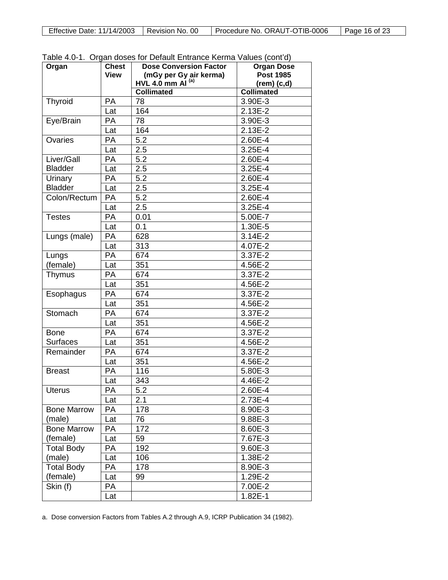| Effective Date: 11/14/2003   Revision No. 00<br>Procedure No. ORAUT-OTIB-0006 |  |  |               |
|-------------------------------------------------------------------------------|--|--|---------------|
|                                                                               |  |  | Page 16 of 23 |

| Organ              | <b>Chest</b> | $1$ able $\pm .0$ T. Organ doses for Delaght Entrance Kenna values (contru)<br><b>Dose Conversion Factor</b> | <b>Organ Dose</b> |
|--------------------|--------------|--------------------------------------------------------------------------------------------------------------|-------------------|
|                    | <b>View</b>  | (mGy per Gy air kerma)                                                                                       | <b>Post 1985</b>  |
|                    |              | HVL 4.0 mm $AI^{(a)}$                                                                                        | $(rem)$ $(c,d)$   |
|                    |              | <b>Collimated</b>                                                                                            | <b>Collimated</b> |
| Thyroid            | <b>PA</b>    | 78                                                                                                           | 3.90E-3           |
|                    | Lat          | 164                                                                                                          | 2.13E-2           |
| Eye/Brain          | PA           | 78                                                                                                           | 3.90E-3           |
|                    | Lat          | 164                                                                                                          | $2.13E-2$         |
| Ovaries            | <b>PA</b>    | 5.2                                                                                                          | 2.60E-4           |
|                    | Lat          | $\overline{2.5}$                                                                                             | 3.25E-4           |
| Liver/Gall         | PA           | 5.2                                                                                                          | 2.60E-4           |
| <b>Bladder</b>     | Lat          | 2.5                                                                                                          | 3.25E-4           |
| Urinary            | <b>PA</b>    | 5.2                                                                                                          | 2.60E-4           |
| <b>Bladder</b>     | Lat          | 2.5                                                                                                          | 3.25E-4           |
| Colon/Rectum       | PA           | 5.2                                                                                                          | 2.60E-4           |
|                    | Lat          | 2.5                                                                                                          | 3.25E-4           |
| <b>Testes</b>      | PA           | 0.01                                                                                                         | 5.00E-7           |
|                    | Lat          | 0.1                                                                                                          | 1.30E-5           |
| Lungs (male)       | PA           | 628                                                                                                          | $3.14E-2$         |
|                    | Lat          | 313                                                                                                          | 4.07E-2           |
| Lungs              | PA           | 674                                                                                                          | $3.37E - 2$       |
| (female)           | Lat          | 351                                                                                                          | 4.56E-2           |
| Thymus             | PA           | 674                                                                                                          | 3.37E-2           |
|                    | Lat          | 351                                                                                                          | 4.56E-2           |
| Esophagus          | PA           | 674                                                                                                          | 3.37E-2           |
|                    | Lat          | 351                                                                                                          | 4.56E-2           |
| Stomach            | PA           | 674                                                                                                          | 3.37E-2           |
|                    | Lat          | 351                                                                                                          | 4.56E-2           |
| <b>Bone</b>        | <b>PA</b>    | 674                                                                                                          | 3.37E-2           |
| <b>Surfaces</b>    | Lat          | 351                                                                                                          | 4.56E-2           |
| Remainder          | PA           | 674                                                                                                          | 3.37E-2           |
|                    | Lat          | 351                                                                                                          | 4.56E-2           |
| <b>Breast</b>      | PA           | 116                                                                                                          | 5.80E-3           |
|                    | Lat          | 343                                                                                                          | 4.46E-2           |
| <b>Uterus</b>      | РA           | 5.2                                                                                                          | 2.60E-4           |
|                    | Lat          | 2.1                                                                                                          | 2.73E-4           |
| <b>Bone Marrow</b> | PA           | 178                                                                                                          | 8.90E-3           |
| (male)             | Lat          | 76                                                                                                           | 9.88E-3           |
| <b>Bone Marrow</b> | PA           | 172                                                                                                          | 8.60E-3           |
| (female)           | Lat          | 59                                                                                                           | 7.67E-3           |
| <b>Total Body</b>  | PA           | 192                                                                                                          | 9.60E-3           |
| (male)             | Lat          | 106                                                                                                          | 1.38E-2           |
| <b>Total Body</b>  | PA           | 178                                                                                                          | 8.90E-3           |
| (female)           | Lat          | 99                                                                                                           | 1.29E-2           |
| Skin (f)           | PA           |                                                                                                              | 7.00E-2           |
|                    | Lat          |                                                                                                              | $1.82E-1$         |

Table 4.0-1. Organ doses for Default Entrance Kerma Values (cont'd)

a. Dose conversion Factors from Tables A.2 through A.9, ICRP Publication 34 (1982).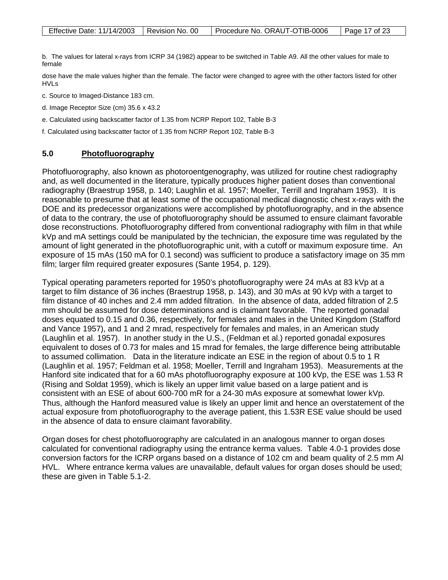b. The values for lateral x-rays from ICRP 34 (1982) appear to be switched in Table A9. All the other values for male to female

dose have the male values higher than the female. The factor were changed to agree with the other factors listed for other HVLs

c. Source to Imaged-Distance 183 cm.

d. Image Receptor Size (cm) 35.6 x 43.2

e. Calculated using backscatter factor of 1.35 from NCRP Report 102, Table B-3

f. Calculated using backscatter factor of 1.35 from NCRP Report 102, Table B-3

#### **5.0 Photofluorography**

Photofluorography, also known as photoroentgenography, was utilized for routine chest radiography and, as well documented in the literature, typically produces higher patient doses than conventional radiography (Braestrup 1958, p. 140; Laughlin et al. 1957; Moeller, Terrill and Ingraham 1953). It is reasonable to presume that at least some of the occupational medical diagnostic chest x-rays with the DOE and its predecessor organizations were accomplished by photofluorography, and in the absence of data to the contrary, the use of photofluorography should be assumed to ensure claimant favorable dose reconstructions. Photofluorography differed from conventional radiography with film in that while kVp and mA settings could be manipulated by the technician, the exposure time was regulated by the amount of light generated in the photofluorographic unit, with a cutoff or maximum exposure time. An exposure of 15 mAs (150 mA for 0.1 second) was sufficient to produce a satisfactory image on 35 mm film; larger film required greater exposures (Sante 1954, p. 129).

Typical operating parameters reported for 1950's photofluorography were 24 mAs at 83 kVp at a target to film distance of 36 inches (Braestrup 1958, p. 143), and 30 mAs at 90 kVp with a target to film distance of 40 inches and 2.4 mm added filtration. In the absence of data, added filtration of 2.5 mm should be assumed for dose determinations and is claimant favorable. The reported gonadal doses equated to 0.15 and 0.36, respectively, for females and males in the United Kingdom (Stafford and Vance 1957), and 1 and 2 mrad, respectively for females and males, in an American study (Laughlin et al. 1957). In another study in the U.S., (Feldman et al.) reported gonadal exposures equivalent to doses of 0.73 for males and 15 mrad for females, the large difference being attributable to assumed collimation. Data in the literature indicate an ESE in the region of about 0.5 to 1 R (Laughlin et al. 1957; Feldman et al. 1958; Moeller, Terrill and Ingraham 1953). Measurements at the Hanford site indicated that for a 60 mAs photofluorography exposure at 100 kVp, the ESE was 1.53 R (Rising and Soldat 1959), which is likely an upper limit value based on a large patient and is consistent with an ESE of about 600-700 mR for a 24-30 mAs exposure at somewhat lower kVp. Thus, although the Hanford measured value is likely an upper limit and hence an overstatement of the actual exposure from photofluorography to the average patient, this 1.53R ESE value should be used in the absence of data to ensure claimant favorability.

Organ doses for chest photofluorography are calculated in an analogous manner to organ doses calculated for conventional radiography using the entrance kerma values. Table 4.0-1 provides dose conversion factors for the ICRP organs based on a distance of 102 cm and beam quality of 2.5 mm Al HVL. Where entrance kerma values are unavailable, default values for organ doses should be used; these are given in Table 5.1-2.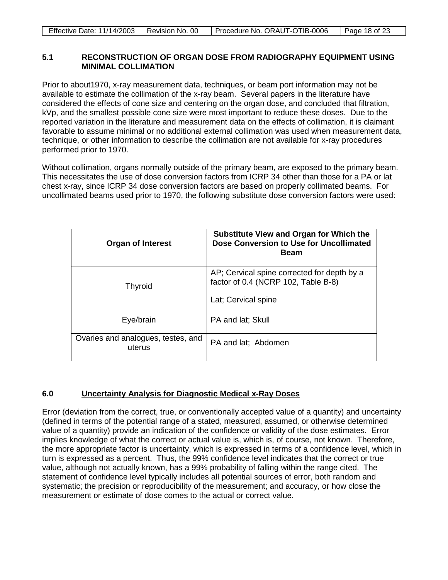| Effective Date: 11/14/2003   Revision No. 00 | Procedure No. ORAUT-OTIB-0006 | Page 18 of 23 |
|----------------------------------------------|-------------------------------|---------------|

### **5.1 RECONSTRUCTION OF ORGAN DOSE FROM RADIOGRAPHY EQUIPMENT USING MINIMAL COLLIMATION**

Prior to about1970, x-ray measurement data, techniques, or beam port information may not be available to estimate the collimation of the x-ray beam. Several papers in the literature have considered the effects of cone size and centering on the organ dose, and concluded that filtration, kVp, and the smallest possible cone size were most important to reduce these doses. Due to the reported variation in the literature and measurement data on the effects of collimation, it is claimant favorable to assume minimal or no additional external collimation was used when measurement data, technique, or other information to describe the collimation are not available for x-ray procedures performed prior to 1970.

Without collimation, organs normally outside of the primary beam, are exposed to the primary beam. This necessitates the use of dose conversion factors from ICRP 34 other than those for a PA or lat chest x-ray, since ICRP 34 dose conversion factors are based on properly collimated beams. For uncollimated beams used prior to 1970, the following substitute dose conversion factors were used:

| <b>Organ of Interest</b>                     | Substitute View and Organ for Which the<br>Dose Conversion to Use for Uncollimated<br><b>Beam</b>         |
|----------------------------------------------|-----------------------------------------------------------------------------------------------------------|
| <b>Thyroid</b>                               | AP; Cervical spine corrected for depth by a<br>factor of 0.4 (NCRP 102, Table B-8)<br>Lat; Cervical spine |
| Eye/brain                                    | PA and lat; Skull                                                                                         |
| Ovaries and analogues, testes, and<br>uterus | PA and lat; Abdomen                                                                                       |

#### **6.0 Uncertainty Analysis for Diagnostic Medical x-Ray Doses**

Error (deviation from the correct, true, or conventionally accepted value of a quantity) and uncertainty (defined in terms of the potential range of a stated, measured, assumed, or otherwise determined value of a quantity) provide an indication of the confidence or validity of the dose estimates. Error implies knowledge of what the correct or actual value is, which is, of course, not known. Therefore, the more appropriate factor is uncertainty, which is expressed in terms of a confidence level, which in turn is expressed as a percent. Thus, the 99% confidence level indicates that the correct or true value, although not actually known, has a 99% probability of falling within the range cited. The statement of confidence level typically includes all potential sources of error, both random and systematic; the precision or reproducibility of the measurement; and accuracy, or how close the measurement or estimate of dose comes to the actual or correct value.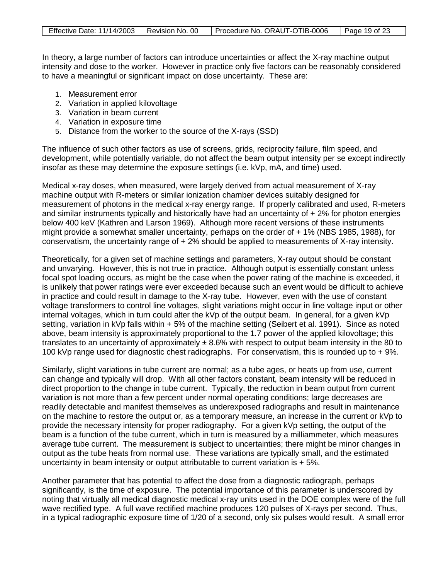| Effective Date: 11/14/2003   Revision No. 00 | Procedure No. ORAUT-OTIB-0006   Page 19 of 23 |  |
|----------------------------------------------|-----------------------------------------------|--|

In theory, a large number of factors can introduce uncertainties or affect the X-ray machine output intensity and dose to the worker. However in practice only five factors can be reasonably considered to have a meaningful or significant impact on dose uncertainty. These are:

- 1. Measurement error
- 2. Variation in applied kilovoltage
- 3. Variation in beam current
- 4. Variation in exposure time
- 5. Distance from the worker to the source of the X-rays (SSD)

The influence of such other factors as use of screens, grids, reciprocity failure, film speed, and development, while potentially variable, do not affect the beam output intensity per se except indirectly insofar as these may determine the exposure settings (i.e. kVp, mA, and time) used.

Medical x-ray doses, when measured, were largely derived from actual measurement of X-ray machine output with R-meters or similar ionization chamber devices suitably designed for measurement of photons in the medical x-ray energy range. If properly calibrated and used, R-meters and similar instruments typically and historically have had an uncertainty of  $+2\%$  for photon energies below 400 keV (Kathren and Larson 1969). Although more recent versions of these instruments might provide a somewhat smaller uncertainty, perhaps on the order of + 1% (NBS 1985, 1988), for conservatism, the uncertainty range of + 2% should be applied to measurements of X-ray intensity.

Theoretically, for a given set of machine settings and parameters, X-ray output should be constant and unvarying. However, this is not true in practice. Although output is essentially constant unless focal spot loading occurs, as might be the case when the power rating of the machine is exceeded, it is unlikely that power ratings were ever exceeded because such an event would be difficult to achieve in practice and could result in damage to the X-ray tube. However, even with the use of constant voltage transformers to control line voltages, slight variations might occur in line voltage input or other internal voltages, which in turn could alter the kVp of the output beam. In general, for a given kVp setting, variation in kVp falls within + 5% of the machine setting (Seibert et al. 1991). Since as noted above, beam intensity is approximately proportional to the 1.7 power of the applied kilovoltage; this translates to an uncertainty of approximately  $\pm$  8.6% with respect to output beam intensity in the 80 to 100 kVp range used for diagnostic chest radiographs. For conservatism, this is rounded up to + 9%.

Similarly, slight variations in tube current are normal; as a tube ages, or heats up from use, current can change and typically will drop. With all other factors constant, beam intensity will be reduced in direct proportion to the change in tube current. Typically, the reduction in beam output from current variation is not more than a few percent under normal operating conditions; large decreases are readily detectable and manifest themselves as underexposed radiographs and result in maintenance on the machine to restore the output or, as a temporary measure, an increase in the current or kVp to provide the necessary intensity for proper radiography. For a given kVp setting, the output of the beam is a function of the tube current, which in turn is measured by a milliammeter, which measures average tube current. The measurement is subject to uncertainties; there might be minor changes in output as the tube heats from normal use. These variations are typically small, and the estimated uncertainty in beam intensity or output attributable to current variation is  $+5\%$ .

Another parameter that has potential to affect the dose from a diagnostic radiograph, perhaps significantly, is the time of exposure. The potential importance of this parameter is underscored by noting that virtually all medical diagnostic medical x-ray units used in the DOE complex were of the full wave rectified type. A full wave rectified machine produces 120 pulses of X-rays per second. Thus, in a typical radiographic exposure time of 1/20 of a second, only six pulses would result. A small error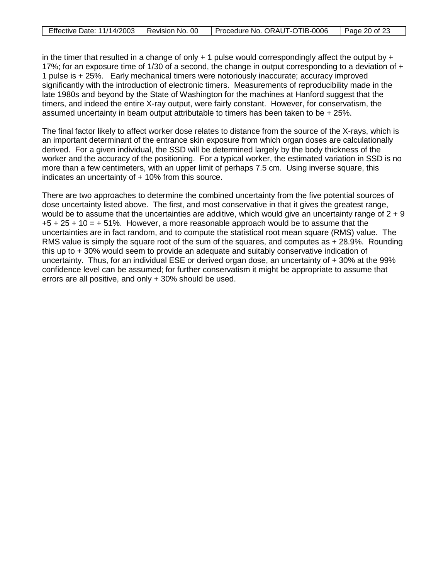| Effective Date: 11/14/2003   Revision No. 00 | Procedure No. ORAUT-OTIB-0006 | $\vert$ Page 20 of 23 |
|----------------------------------------------|-------------------------------|-----------------------|
|----------------------------------------------|-------------------------------|-----------------------|

in the timer that resulted in a change of only  $+1$  pulse would correspondingly affect the output by  $+$ 17%; for an exposure time of 1/30 of a second, the change in output corresponding to a deviation of + 1 pulse is + 25%. Early mechanical timers were notoriously inaccurate; accuracy improved significantly with the introduction of electronic timers. Measurements of reproducibility made in the late 1980s and beyond by the State of Washington for the machines at Hanford suggest that the timers, and indeed the entire X-ray output, were fairly constant. However, for conservatism, the assumed uncertainty in beam output attributable to timers has been taken to be  $+25\%$ .

The final factor likely to affect worker dose relates to distance from the source of the X-rays, which is an important determinant of the entrance skin exposure from which organ doses are calculationally derived. For a given individual, the SSD will be determined largely by the body thickness of the worker and the accuracy of the positioning. For a typical worker, the estimated variation in SSD is no more than a few centimeters, with an upper limit of perhaps 7.5 cm. Using inverse square, this indicates an uncertainty of + 10% from this source.

There are two approaches to determine the combined uncertainty from the five potential sources of dose uncertainty listed above. The first, and most conservative in that it gives the greatest range, would be to assume that the uncertainties are additive, which would give an uncertainty range of  $2 + 9$  $+5 + 25 + 10 = +51\%$ . However, a more reasonable approach would be to assume that the uncertainties are in fact random, and to compute the statistical root mean square (RMS) value. The RMS value is simply the square root of the sum of the squares, and computes as + 28.9%. Rounding this up to + 30% would seem to provide an adequate and suitably conservative indication of uncertainty. Thus, for an individual ESE or derived organ dose, an uncertainty of + 30% at the 99% confidence level can be assumed; for further conservatism it might be appropriate to assume that errors are all positive, and only + 30% should be used.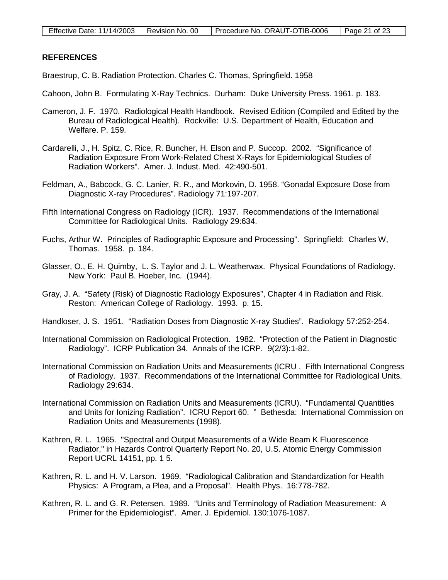# **REFERENCES**

Braestrup, C. B. Radiation Protection. Charles C. Thomas, Springfield. 1958

- Cahoon, John B. Formulating X-Ray Technics. Durham: Duke University Press. 1961. p. 183.
- Cameron, J. F. 1970. Radiological Health Handbook. Revised Edition (Compiled and Edited by the Bureau of Radiological Health). Rockville: U.S. Department of Health, Education and Welfare. P. 159.
- Cardarelli, J., H. Spitz, C. Rice, R. Buncher, H. Elson and P. Succop. 2002. "Significance of Radiation Exposure From Work-Related Chest X-Rays for Epidemiological Studies of Radiation Workers". Amer. J. Indust. Med. 42:490-501.
- Feldman, A., Babcock, G. C. Lanier, R. R., and Morkovin, D. 1958. "Gonadal Exposure Dose from Diagnostic X-ray Procedures". Radiology 71:197-207.
- Fifth International Congress on Radiology (ICR). 1937. Recommendations of the International Committee for Radiological Units. Radiology 29:634.
- Fuchs, Arthur W. Principles of Radiographic Exposure and Processing". Springfield: Charles W, Thomas. 1958. p. 184.
- Glasser, O., E. H. Quimby, L. S. Taylor and J. L. Weatherwax. Physical Foundations of Radiology. New York: Paul B. Hoeber, Inc. (1944).
- Gray, J. A. "Safety (Risk) of Diagnostic Radiology Exposures", Chapter 4 in Radiation and Risk. Reston: American College of Radiology. 1993. p. 15.
- Handloser, J. S. 1951. "Radiation Doses from Diagnostic X-ray Studies". Radiology 57:252-254.
- International Commission on Radiological Protection. 1982. "Protection of the Patient in Diagnostic Radiology". ICRP Publication 34. Annals of the ICRP. 9(2/3):1-82.
- International Commission on Radiation Units and Measurements (ICRU . Fifth International Congress of Radiology. 1937. Recommendations of the International Committee for Radiological Units. Radiology 29:634.
- International Commission on Radiation Units and Measurements (ICRU). "Fundamental Quantities and Units for Ionizing Radiation". ICRU Report 60. " Bethesda: International Commission on Radiation Units and Measurements (1998).
- Kathren, R. L. 1965. "Spectral and Output Measurements of a Wide Beam K Fluorescence Radiator," in Hazards Control Quarterly Report No. 20, U.S. Atomic Energy Commission Report UCRL 14151, pp. 1 5.
- Kathren, R. L. and H. V. Larson. 1969. "Radiological Calibration and Standardization for Health Physics: A Program, a Plea, and a Proposal". Health Phys. 16:778-782.
- Kathren, R. L. and G. R. Petersen. 1989. "Units and Terminology of Radiation Measurement: A Primer for the Epidemiologist". Amer. J. Epidemiol. 130:1076-1087.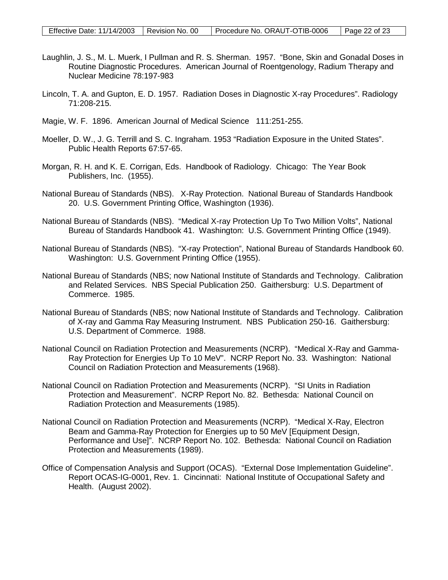- Laughlin, J. S., M. L. Muerk, I Pullman and R. S. Sherman. 1957. "Bone, Skin and Gonadal Doses in Routine Diagnostic Procedures. American Journal of Roentgenology, Radium Therapy and Nuclear Medicine 78:197-983
- Lincoln, T. A. and Gupton, E. D. 1957. Radiation Doses in Diagnostic X-ray Procedures". Radiology 71:208-215.
- Magie, W. F. 1896. American Journal of Medical Science 111:251-255.
- Moeller, D. W., J. G. Terrill and S. C. Ingraham. 1953 "Radiation Exposure in the United States". Public Health Reports 67:57-65.
- Morgan, R. H. and K. E. Corrigan, Eds. Handbook of Radiology. Chicago: The Year Book Publishers, Inc. (1955).
- National Bureau of Standards (NBS). X-Ray Protection. National Bureau of Standards Handbook 20. U.S. Government Printing Office, Washington (1936).
- National Bureau of Standards (NBS). "Medical X-ray Protection Up To Two Million Volts", National Bureau of Standards Handbook 41. Washington: U.S. Government Printing Office (1949).
- National Bureau of Standards (NBS). "X-ray Protection", National Bureau of Standards Handbook 60. Washington: U.S. Government Printing Office (1955).
- National Bureau of Standards (NBS; now National Institute of Standards and Technology. Calibration and Related Services. NBS Special Publication 250. Gaithersburg: U.S. Department of Commerce. 1985.
- National Bureau of Standards (NBS; now National Institute of Standards and Technology. Calibration of X-ray and Gamma Ray Measuring Instrument. NBS Publication 250-16. Gaithersburg: U.S. Department of Commerce. 1988.
- National Council on Radiation Protection and Measurements (NCRP). "Medical X-Ray and Gamma-Ray Protection for Energies Up To 10 MeV". NCRP Report No. 33. Washington: National Council on Radiation Protection and Measurements (1968).
- National Council on Radiation Protection and Measurements (NCRP). "SI Units in Radiation Protection and Measurement". NCRP Report No. 82. Bethesda: National Council on Radiation Protection and Measurements (1985).
- National Council on Radiation Protection and Measurements (NCRP). "Medical X-Ray, Electron Beam and Gamma-Ray Protection for Energies up to 50 MeV [Equipment Design, Performance and Use]". NCRP Report No. 102. Bethesda: National Council on Radiation Protection and Measurements (1989).
- Office of Compensation Analysis and Support (OCAS). "External Dose Implementation Guideline". Report OCAS-IG-0001, Rev. 1. Cincinnati: National Institute of Occupational Safety and Health. (August 2002).